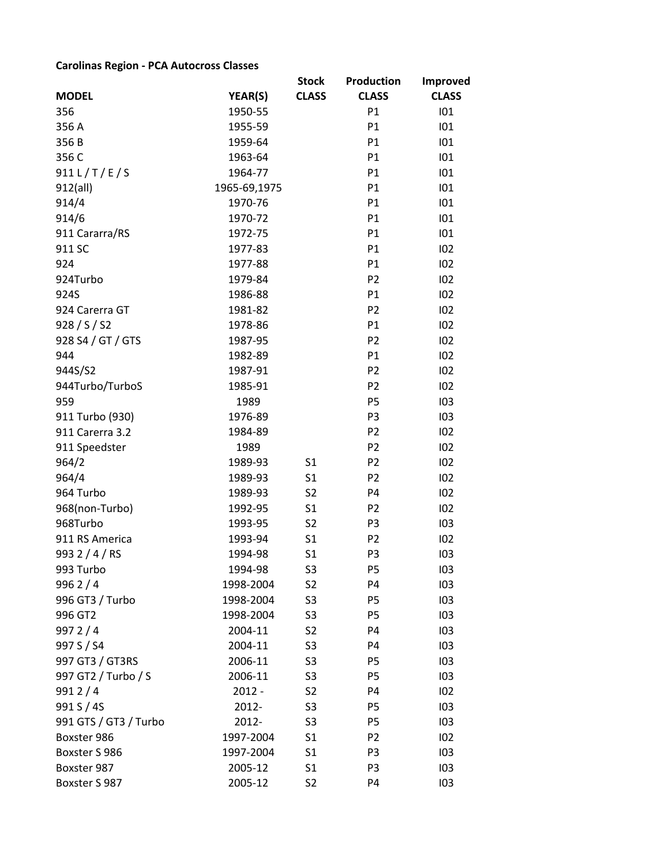## **Carolinas Region - PCA Autocross Classes**

|                                      |                    | <b>Stock</b>         | <b>Production</b>    | <b>Improved</b> |
|--------------------------------------|--------------------|----------------------|----------------------|-----------------|
| <b>MODEL</b>                         | YEAR(S)            | <b>CLASS</b>         | <b>CLASS</b>         | <b>CLASS</b>    |
| 356                                  | 1950-55            |                      | P1                   | 101             |
| 356 A                                | 1955-59            |                      | P1                   | 101             |
| 356B                                 | 1959-64            |                      | P1                   | 101             |
| 356 C                                | 1963-64            |                      | P1                   | 101             |
| 911 L/T/E/S                          | 1964-77            |                      | P1                   | 101             |
| 912(all)                             | 1965-69,1975       |                      | P1                   | 101             |
| 914/4                                | 1970-76            |                      | P1                   | 101             |
| 914/6                                | 1970-72            |                      | P1                   | 101             |
| 911 Cararra/RS                       | 1972-75            |                      | P1                   | 101             |
| 911 SC                               | 1977-83            |                      | P1                   | 102             |
| 924                                  | 1977-88            |                      | P1                   | 102             |
| 924Turbo                             | 1979-84            |                      | P <sub>2</sub>       | 102             |
| 924S                                 | 1986-88            |                      | P1                   | 102             |
| 924 Carerra GT                       | 1981-82            |                      | P <sub>2</sub>       | 102             |
| 928 / S / S2                         | 1978-86            |                      | P1                   | 102             |
| 928 S4 / GT / GTS                    | 1987-95            |                      | P <sub>2</sub>       | 102             |
| 944                                  | 1982-89            |                      | P1                   | 102             |
| 944S/S2                              | 1987-91            |                      | P <sub>2</sub>       | 102             |
| 944Turbo/TurboS                      | 1985-91            |                      | P <sub>2</sub>       | 102             |
| 959                                  | 1989               |                      | <b>P5</b>            | 103             |
| 911 Turbo (930)                      | 1976-89            |                      | P <sub>3</sub>       | 103             |
| 911 Carerra 3.2                      | 1984-89            |                      | P <sub>2</sub>       | 102             |
| 911 Speedster                        | 1989               |                      | P <sub>2</sub>       | 102             |
| 964/2                                | 1989-93            | S <sub>1</sub>       | P <sub>2</sub>       | 102             |
| 964/4                                | 1989-93            | S <sub>1</sub>       | P <sub>2</sub>       | 102             |
| 964 Turbo                            | 1989-93            | S <sub>2</sub>       | <b>P4</b>            | 102             |
| 968(non-Turbo)                       | 1992-95            | S <sub>1</sub>       | P <sub>2</sub>       | 102             |
| 968Turbo                             | 1993-95            | S <sub>2</sub>       | P <sub>3</sub>       | 103             |
| 911 RS America                       | 1993-94            | S <sub>1</sub>       | P <sub>2</sub>       | 102             |
| 993 2 / 4 / RS                       | 1994-98            | S <sub>1</sub>       | P <sub>3</sub>       | 103             |
| 993 Turbo                            | 1994-98            | S3                   | Р5                   | 103             |
| 9962/4                               | 1998-2004          | S <sub>2</sub>       | P4                   | 103             |
| 996 GT3 / Turbo                      | 1998-2004          | S3                   | P <sub>5</sub>       | 103             |
| 996 GT2                              | 1998-2004          | S3                   | P <sub>5</sub>       | 103             |
| 9972/4                               | 2004-11            | S <sub>2</sub>       | P4                   | 103             |
| 997 S / S4                           | 2004-11            | S3                   | P4                   | 103             |
| 997 GT3 / GT3RS                      | 2006-11            | S3                   | P <sub>5</sub>       | 103             |
| 997 GT2 / Turbo / S                  | 2006-11            | S <sub>3</sub>       | P5                   | 103             |
| 9912/4                               | $2012 -$<br>2012-  | S2                   | P4                   | 102             |
| 991 S / 4S                           |                    | S3                   | P <sub>5</sub>       | 103             |
| 991 GTS / GT3 / Turbo<br>Boxster 986 | 2012-<br>1997-2004 | S3<br>S <sub>1</sub> | P5<br>P <sub>2</sub> | 103<br>102      |
| Boxster S 986                        | 1997-2004          | S <sub>1</sub>       | P <sub>3</sub>       | 103             |
| Boxster 987                          | 2005-12            | S <sub>1</sub>       | P <sub>3</sub>       | 103             |
| Boxster S 987                        | 2005-12            | S <sub>2</sub>       | P4                   | 103             |
|                                      |                    |                      |                      |                 |